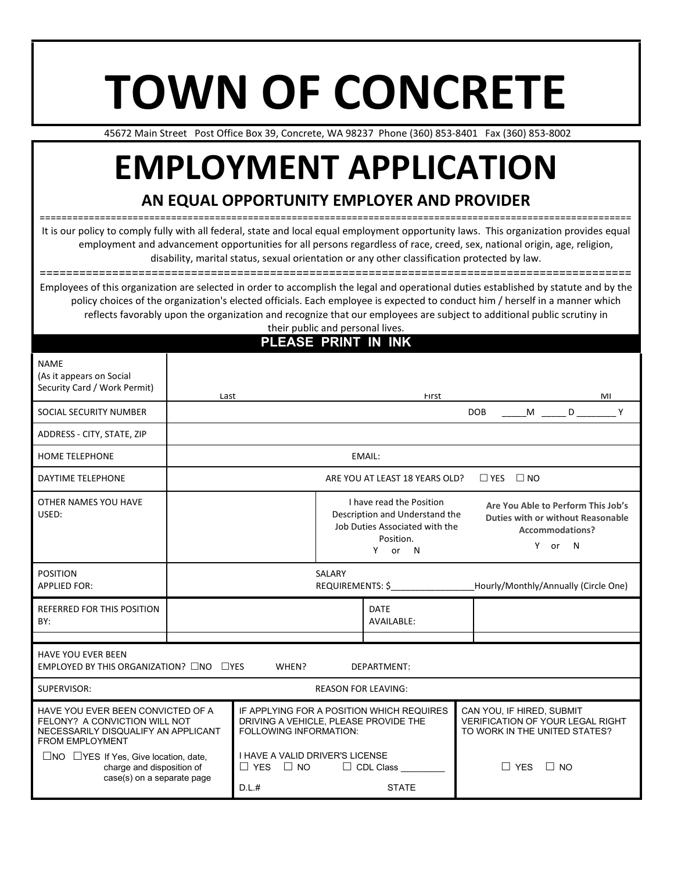# **TOWN OF CONCRETE**

45672 Main Street Post Office Box 39, Concrete, WA 98237 Phone (360) 853-8401 Fax (360) 853-8002

# **EMPLOYMENT APPLICATION**

## **AN EQUAL OPPORTUNITY EMPLOYER AND PROVIDER**

============================================================================================================ It is our policy to comply fully with all federal, state and local equal employment opportunity laws. This organization provides equal employment and advancement opportunities for all persons regardless of race, creed, sex, national origin, age, religion, disability, marital status, sexual orientation or any other classification protected by law.

==========================================================================================

Employees of this organization are selected in order to accomplish the legal and operational duties established by statute and by the policy choices of the organization's elected officials. Each employee is expected to conduct him / herself in a manner which reflects favorably upon the organization and recognize that our employees are subject to additional public scrutiny in their public and personal lives.

| PLEASE PRINT IN INK                                                                                                                 |                                                                                                              |                                                                                                       |  |                                                                                                                     |                                                                                                          |  |  |    |
|-------------------------------------------------------------------------------------------------------------------------------------|--------------------------------------------------------------------------------------------------------------|-------------------------------------------------------------------------------------------------------|--|---------------------------------------------------------------------------------------------------------------------|----------------------------------------------------------------------------------------------------------|--|--|----|
| <b>NAME</b><br>(As it appears on Social<br>Security Card / Work Permit)                                                             | Last                                                                                                         |                                                                                                       |  | First                                                                                                               |                                                                                                          |  |  | MI |
| SOCIAL SECURITY NUMBER                                                                                                              | <b>DOB</b><br>M <sub>ar</sub><br>D <sub>a</sub>                                                              |                                                                                                       |  |                                                                                                                     |                                                                                                          |  |  | Y  |
| ADDRESS - CITY, STATE, ZIP                                                                                                          |                                                                                                              |                                                                                                       |  |                                                                                                                     |                                                                                                          |  |  |    |
| HOME TELEPHONE                                                                                                                      | EMAIL:                                                                                                       |                                                                                                       |  |                                                                                                                     |                                                                                                          |  |  |    |
| DAYTIME TELEPHONE                                                                                                                   | $\Box$ YES<br>$\Box$ NO<br>ARE YOU AT LEAST 18 YEARS OLD?                                                    |                                                                                                       |  |                                                                                                                     |                                                                                                          |  |  |    |
| OTHER NAMES YOU HAVE<br>USED:                                                                                                       |                                                                                                              |                                                                                                       |  | I have read the Position<br>Description and Understand the<br>Job Duties Associated with the<br>Position.<br>Y or N | Are You Able to Perform This Job's<br>Duties with or without Reasonable<br>Accommodations?<br>Y or<br>N. |  |  |    |
| <b>POSITION</b><br><b>APPLIED FOR:</b>                                                                                              | SALARY<br>REQUIREMENTS: \$<br>Hourly/Monthly/Annually (Circle One)                                           |                                                                                                       |  |                                                                                                                     |                                                                                                          |  |  |    |
| <b>REFERRED FOR THIS POSITION</b><br>BY:                                                                                            | <b>DATE</b><br>AVAILABLE:                                                                                    |                                                                                                       |  |                                                                                                                     |                                                                                                          |  |  |    |
|                                                                                                                                     |                                                                                                              |                                                                                                       |  |                                                                                                                     |                                                                                                          |  |  |    |
| <b>HAVE YOU EVER BEEN</b><br>EMPLOYED BY THIS ORGANIZATION? □NO                                                                     | $\square$ YES                                                                                                | WHEN?                                                                                                 |  | DEPARTMENT:                                                                                                         |                                                                                                          |  |  |    |
| <b>REASON FOR LEAVING:</b><br>SUPERVISOR:                                                                                           |                                                                                                              |                                                                                                       |  |                                                                                                                     |                                                                                                          |  |  |    |
| HAVE YOU EVER BEEN CONVICTED OF A<br>FELONY? A CONVICTION WILL NOT<br>NECESSARILY DISQUALIFY AN APPLICANT<br><b>FROM EMPLOYMENT</b> | IF APPLYING FOR A POSITION WHICH REQUIRES<br>DRIVING A VEHICLE. PLEASE PROVIDE THE<br>FOLLOWING INFORMATION: | CAN YOU, IF HIRED, SUBMIT<br><b>VERIFICATION OF YOUR LEGAL RIGHT</b><br>TO WORK IN THE UNITED STATES? |  |                                                                                                                     |                                                                                                          |  |  |    |
| $\Box$ NO $\Box$ YES If Yes, Give location, date,<br>charge and disposition of<br>case(s) on a separate page                        | I HAVE A VALID DRIVER'S LICENSE<br>$\Box$ YES<br>$\Box$ NO<br>D.L.#                                          | $\Box$ YES<br>$\Box$ No                                                                               |  |                                                                                                                     |                                                                                                          |  |  |    |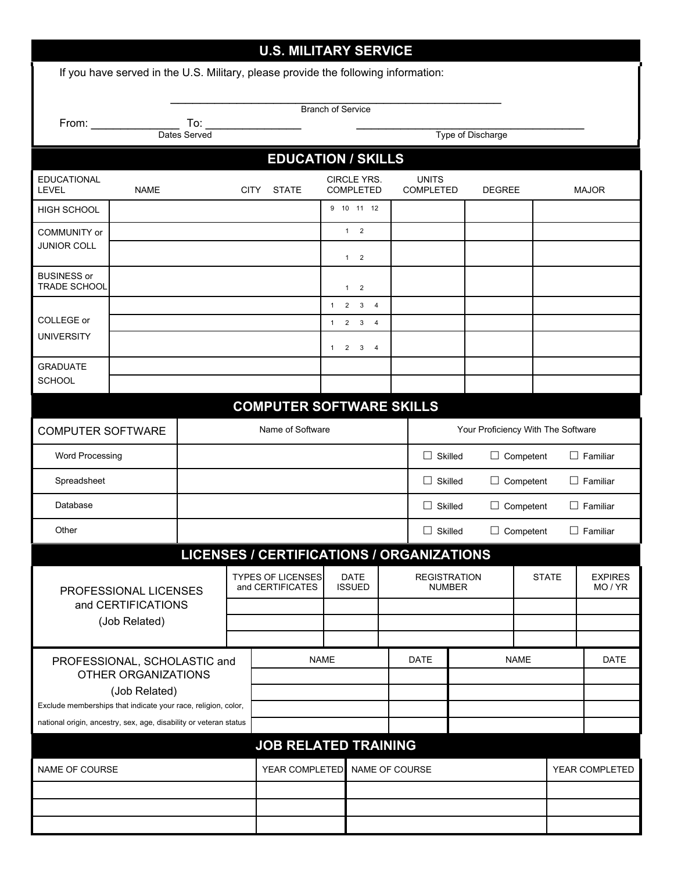|                                                                                                                                    |                                   |                                                                              |                                                        | <b>U.S. MILITARY SERVICE</b>                                                       |              |                                       |                |                           |  |                  |                         |                 |              |  |
|------------------------------------------------------------------------------------------------------------------------------------|-----------------------------------|------------------------------------------------------------------------------|--------------------------------------------------------|------------------------------------------------------------------------------------|--------------|---------------------------------------|----------------|---------------------------|--|------------------|-------------------------|-----------------|--------------|--|
|                                                                                                                                    |                                   |                                                                              |                                                        | If you have served in the U.S. Military, please provide the following information: |              |                                       |                |                           |  |                  |                         |                 |              |  |
| <b>Branch of Service</b>                                                                                                           |                                   |                                                                              |                                                        |                                                                                    |              |                                       |                |                           |  |                  |                         |                 |              |  |
| From:                                                                                                                              | To:                               |                                                                              |                                                        |                                                                                    |              |                                       |                |                           |  |                  |                         |                 |              |  |
|                                                                                                                                    | Dates Served<br>Type of Discharge |                                                                              |                                                        |                                                                                    |              |                                       |                |                           |  |                  |                         |                 |              |  |
|                                                                                                                                    |                                   |                                                                              |                                                        | <b>EDUCATION / SKILLS</b>                                                          |              |                                       |                |                           |  |                  |                         |                 |              |  |
| <b>EDUCATIONAL</b><br><b>LEVEL</b>                                                                                                 | <b>NAME</b>                       |                                                                              | <b>CITY</b>                                            | <b>STATE</b>                                                                       |              | <b>CIRCLE YRS.</b><br>COMPLETED       |                | <b>UNITS</b><br>COMPLETED |  | DEGREE           |                         |                 | <b>MAJOR</b> |  |
| HIGH SCHOOL                                                                                                                        |                                   |                                                                              |                                                        |                                                                                    |              | 9 10 11 12                            |                |                           |  |                  |                         |                 |              |  |
| COMMUNITY or                                                                                                                       |                                   |                                                                              |                                                        |                                                                                    |              | $1 \quad 2$                           |                |                           |  |                  |                         |                 |              |  |
| <b>JUNIOR COLL</b>                                                                                                                 |                                   |                                                                              |                                                        |                                                                                    |              | $1 \quad 2$                           |                |                           |  |                  |                         |                 |              |  |
| <b>BUSINESS or</b><br><b>TRADE SCHOOL</b>                                                                                          |                                   |                                                                              |                                                        |                                                                                    |              | $1 \quad 2$                           |                |                           |  |                  |                         |                 |              |  |
|                                                                                                                                    |                                   |                                                                              |                                                        |                                                                                    |              | $1 \quad 2 \quad 3$<br>$\overline{4}$ |                |                           |  |                  |                         |                 |              |  |
| COLLEGE or<br><b>UNIVERSITY</b>                                                                                                    |                                   |                                                                              |                                                        |                                                                                    | 1            | $2 \quad 3 \quad 4$                   |                |                           |  |                  |                         |                 |              |  |
|                                                                                                                                    |                                   |                                                                              |                                                        |                                                                                    | $\mathbf{1}$ | $2 \quad 3 \quad 4$                   |                |                           |  |                  |                         |                 |              |  |
| <b>GRADUATE</b><br><b>SCHOOL</b>                                                                                                   |                                   |                                                                              |                                                        |                                                                                    |              |                                       |                |                           |  |                  |                         |                 |              |  |
|                                                                                                                                    |                                   |                                                                              |                                                        |                                                                                    |              |                                       |                |                           |  |                  |                         |                 |              |  |
|                                                                                                                                    |                                   |                                                                              |                                                        | <b>COMPUTER SOFTWARE SKILLS</b>                                                    |              |                                       |                |                           |  |                  |                         |                 |              |  |
| <b>COMPUTER SOFTWARE</b>                                                                                                           |                                   |                                                                              | Name of Software<br>Your Proficiency With The Software |                                                                                    |              |                                       |                |                           |  |                  |                         |                 |              |  |
| <b>Word Processing</b>                                                                                                             |                                   |                                                                              |                                                        |                                                                                    |              |                                       | $\Box$ Skilled |                           |  | $\Box$ Competent |                         | $\Box$ Familiar |              |  |
| Spreadsheet                                                                                                                        |                                   |                                                                              |                                                        |                                                                                    |              | $\Box$ Skilled<br>$\Box$ Competent    |                |                           |  |                  | $\Box$ Familiar         |                 |              |  |
| Database                                                                                                                           |                                   |                                                                              |                                                        | $\Box$ Skilled<br>$\Box$ Competent                                                 |              |                                       |                |                           |  | $\Box$ Familiar  |                         |                 |              |  |
| Other                                                                                                                              |                                   |                                                                              |                                                        | $\Box$ Skilled<br>$\Box$ Competent                                                 |              |                                       |                |                           |  |                  | $\Box$ Familiar         |                 |              |  |
|                                                                                                                                    |                                   |                                                                              |                                                        | LICENSES / CERTIFICATIONS / ORGANIZATIONS                                          |              |                                       |                |                           |  |                  |                         |                 |              |  |
| PROFESSIONAL LICENSES<br>and CERTIFICATIONS                                                                                        |                                   | <b>TYPES OF LICENSES</b><br><b>DATE</b><br>and CERTIFICATES<br><b>ISSUED</b> |                                                        |                                                                                    |              | <b>REGISTRATION</b><br><b>NUMBER</b>  |                |                           |  | <b>STATE</b>     | <b>EXPIRES</b><br>MO/YR |                 |              |  |
|                                                                                                                                    |                                   |                                                                              |                                                        |                                                                                    |              |                                       |                |                           |  |                  |                         |                 |              |  |
|                                                                                                                                    | (Job Related)                     |                                                                              |                                                        |                                                                                    |              |                                       |                |                           |  |                  |                         |                 |              |  |
|                                                                                                                                    |                                   |                                                                              |                                                        |                                                                                    |              |                                       |                |                           |  |                  |                         |                 |              |  |
| PROFESSIONAL, SCHOLASTIC and<br>OTHER ORGANIZATIONS<br>(Job Related)                                                               |                                   | <b>NAME</b>                                                                  |                                                        |                                                                                    |              | DATE                                  |                | NAME<br>DATE              |  |                  |                         |                 |              |  |
|                                                                                                                                    |                                   |                                                                              |                                                        |                                                                                    |              |                                       |                |                           |  |                  |                         |                 |              |  |
| Exclude memberships that indicate your race, religion, color,<br>national origin, ancestry, sex, age, disability or veteran status |                                   |                                                                              |                                                        |                                                                                    |              |                                       |                |                           |  |                  |                         |                 |              |  |
|                                                                                                                                    |                                   |                                                                              |                                                        |                                                                                    |              |                                       |                |                           |  |                  |                         |                 |              |  |
|                                                                                                                                    |                                   |                                                                              | <b>JOB RELATED TRAINING</b>                            |                                                                                    |              |                                       |                |                           |  |                  |                         |                 |              |  |
| NAME OF COURSE                                                                                                                     |                                   |                                                                              | YEAR COMPLETED<br>NAME OF COURSE                       |                                                                                    |              |                                       |                |                           |  |                  | YEAR COMPLETED          |                 |              |  |
|                                                                                                                                    |                                   |                                                                              |                                                        |                                                                                    |              |                                       |                |                           |  |                  |                         |                 |              |  |
|                                                                                                                                    |                                   |                                                                              |                                                        |                                                                                    |              |                                       |                |                           |  |                  |                         |                 |              |  |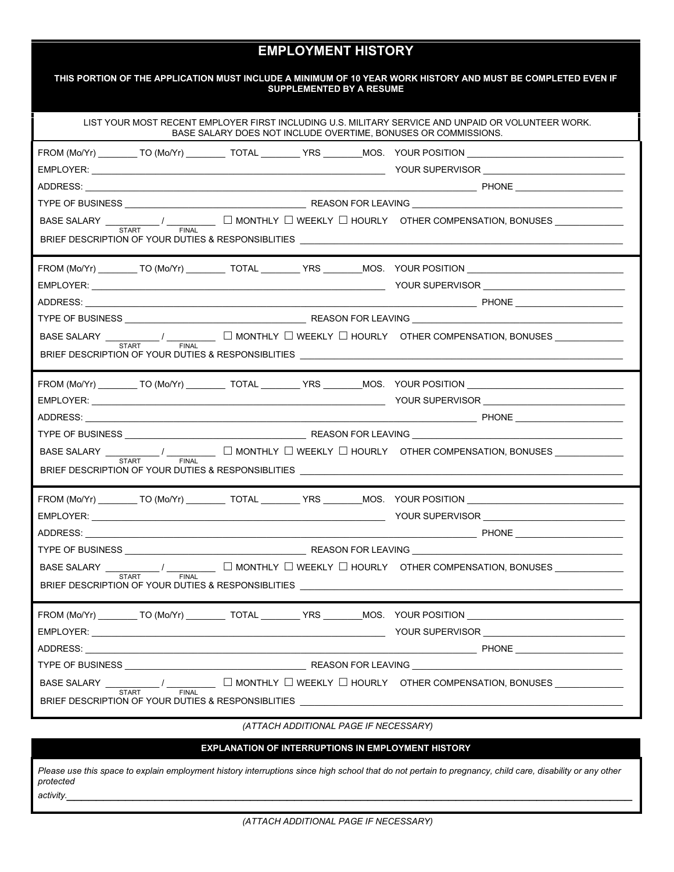# **EMPLOYMENT HISTORY**

|                             |              | <b>SUPPLEMENTED BY A RESUME</b> | THIS PORTION OF THE APPLICATION MUST INCLUDE A MINIMUM OF 10 YEAR WORK HISTORY AND MUST BE COMPLETED EVEN IF                                                                                                                                                                                                                                                                                          |
|-----------------------------|--------------|---------------------------------|-------------------------------------------------------------------------------------------------------------------------------------------------------------------------------------------------------------------------------------------------------------------------------------------------------------------------------------------------------------------------------------------------------|
|                             |              |                                 | LIST YOUR MOST RECENT EMPLOYER FIRST INCLUDING U.S. MILITARY SERVICE AND UNPAID OR VOLUNTEER WORK.<br>BASE SALARY DOES NOT INCLUDE OVERTIME. BONUSES OR COMMISSIONS.                                                                                                                                                                                                                                  |
|                             |              |                                 | FROM (Mo/Yr) _________TO (Mo/Yr) ___________TOTAL _________YRS ________MOS. YOUR POSITION __________________________                                                                                                                                                                                                                                                                                  |
|                             |              |                                 |                                                                                                                                                                                                                                                                                                                                                                                                       |
|                             |              |                                 |                                                                                                                                                                                                                                                                                                                                                                                                       |
|                             |              |                                 |                                                                                                                                                                                                                                                                                                                                                                                                       |
|                             |              |                                 | $\small{\textsf{BASE SALARY}}\begin{picture}(150,10) \put(0,0){\vector(1,0){100}} \put(15,0){\vector(1,0){100}} \put(15,0){\vector(1,0){100}} \put(15,0){\vector(1,0){100}} \put(15,0){\vector(1,0){100}} \put(15,0){\vector(1,0){100}} \put(15,0){\vector(1,0){100}} \put(15,0){\vector(1,0){100}} \put(15,0){\vector(1,0){100}} \put(15,0){\vector(1,0){100}} \put(15,0){\$                         |
|                             |              |                                 |                                                                                                                                                                                                                                                                                                                                                                                                       |
|                             |              |                                 |                                                                                                                                                                                                                                                                                                                                                                                                       |
|                             |              |                                 |                                                                                                                                                                                                                                                                                                                                                                                                       |
|                             |              |                                 |                                                                                                                                                                                                                                                                                                                                                                                                       |
|                             |              |                                 |                                                                                                                                                                                                                                                                                                                                                                                                       |
|                             |              |                                 | BASE SALARY $\underbrace{\hspace{2cm}}$ $\overline{\hspace{2cm}}$ $\overline{\hspace{2cm}}$ $\overline{\hspace{2cm}}$ $\overline{\hspace{2cm}}$ MONTHLY $\Box$ WEEKLY $\Box$ HOURLY OTHER COMPENSATION, BONUSES $\underbrace{\hspace{2cm}}$                                                                                                                                                           |
|                             |              |                                 |                                                                                                                                                                                                                                                                                                                                                                                                       |
|                             |              |                                 |                                                                                                                                                                                                                                                                                                                                                                                                       |
|                             |              |                                 |                                                                                                                                                                                                                                                                                                                                                                                                       |
|                             |              |                                 |                                                                                                                                                                                                                                                                                                                                                                                                       |
|                             |              |                                 |                                                                                                                                                                                                                                                                                                                                                                                                       |
|                             |              |                                 | BASE SALARY $ \frac{1}{\text{START}}$ / $ \frac{1}{\text{FINAL}}$ $\Box$ MONTHLY $\Box$ WEEKLY $\Box$ HOURLY OTHER COMPENSATION, BONUSES $\Box$                                                                                                                                                                                                                                                       |
|                             |              |                                 | BRIEF DESCRIPTION OF YOUR DUTIES & RESPONSIBLITIES AND THE STATE OF STATE OF STATE OF STATE OF STATE OF STATE O                                                                                                                                                                                                                                                                                       |
|                             |              |                                 |                                                                                                                                                                                                                                                                                                                                                                                                       |
|                             |              |                                 |                                                                                                                                                                                                                                                                                                                                                                                                       |
|                             |              |                                 |                                                                                                                                                                                                                                                                                                                                                                                                       |
|                             |              |                                 |                                                                                                                                                                                                                                                                                                                                                                                                       |
| BASE SALARY ______________/ | <b>FINAL</b> |                                 | $\begin{tabular}{ c c c c c } \hline \quad \quad & \quad \quad & \quad \quad & \quad \quad & \quad \quad & \quad \quad \\ \hline \end{tabular}$ $\begin{tabular}{ c c c c c } \hline \quad \quad & \quad \quad & \quad \quad & \quad \quad & \quad \quad \\ \hline \end{tabular}$ $\begin{tabular}{ c c c c c } \hline \quad \quad & \quad \quad & \quad \quad & \quad \quad \\ \hline \end{tabular}$ |
|                             |              |                                 | BRIEF DESCRIPTION OF YOUR DUTIES & RESPONSIBLITIES ______________________________                                                                                                                                                                                                                                                                                                                     |
|                             |              |                                 | FROM (Mo/Yr) ________ TO (Mo/Yr) _________ TOTAL ________ YRS _______MOS. YOUR POSITION ____________________________                                                                                                                                                                                                                                                                                  |
|                             |              |                                 |                                                                                                                                                                                                                                                                                                                                                                                                       |
|                             |              |                                 |                                                                                                                                                                                                                                                                                                                                                                                                       |
|                             |              |                                 |                                                                                                                                                                                                                                                                                                                                                                                                       |
| <b>START</b>                | <b>FINAL</b> |                                 | BASE SALARY __________/ ___________ □ MONTHLY □ WEEKLY □ HOURLY OTHER COMPENSATION, BONUSES _____________                                                                                                                                                                                                                                                                                             |
|                             |              |                                 | BRIEF DESCRIPTION OF YOUR DUTIES & RESPONSIBLITIES AND THE STATE OF STATE ON A STATE OF STATES.                                                                                                                                                                                                                                                                                                       |
|                             |              |                                 |                                                                                                                                                                                                                                                                                                                                                                                                       |

*(ATTACH ADDITIONAL PAGE IF NECESSARY)*

#### **EXPLANATION OF INTERRUPTIONS IN EMPLOYMENT HISTORY**

*Please use this space to explain employment history interruptions since high school that do not pertain to pregnancy, child care, disability or any other protected activity.\_\_\_\_\_\_\_\_\_\_\_\_\_\_\_\_\_\_\_\_\_\_\_\_\_\_\_\_\_\_\_\_\_\_\_\_\_\_\_\_\_\_\_\_\_\_\_\_\_\_\_\_\_\_\_\_\_\_\_\_\_\_\_\_\_\_\_\_\_\_\_\_\_\_\_\_\_*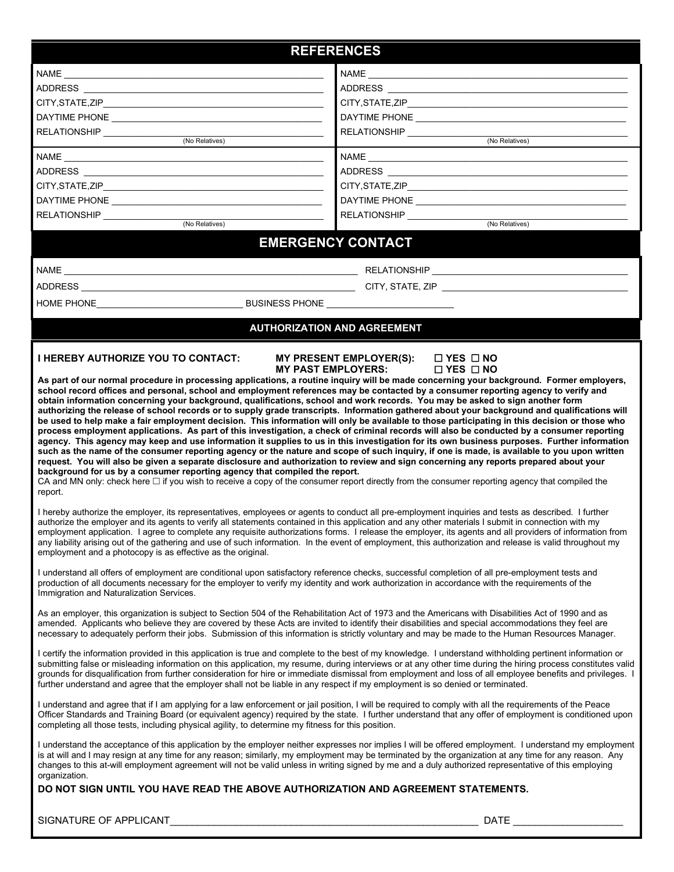| <b>REFERENCES</b>                                          |                                                   |  |  |  |  |  |
|------------------------------------------------------------|---------------------------------------------------|--|--|--|--|--|
| NAME __________________________                            |                                                   |  |  |  |  |  |
| ADDRESS ____________                                       | ADDRESS ___________                               |  |  |  |  |  |
|                                                            | CITY, STATE, ZIP______________                    |  |  |  |  |  |
| DAYTIME PHONE <b>EXAMPLE AND THE STATE</b>                 | DAYTIME PHONE <b>CONTROLLER PHONE</b>             |  |  |  |  |  |
| RELATIONSHIP                                               | <b>RELATIONSHIP</b>                               |  |  |  |  |  |
| (No Relatives)                                             | (No Relatives)                                    |  |  |  |  |  |
| $\begin{tabular}{ c c } \hline \texttt{NAME}\end{tabular}$ | NAME                                              |  |  |  |  |  |
| ADDRESS _______________                                    | ADDRESS ____________                              |  |  |  |  |  |
|                                                            | . CITY,STATE,ZIP_________________________________ |  |  |  |  |  |
| DAYTIME PHONE ______________________                       | DAYTIME PHONE <u>_________________</u>            |  |  |  |  |  |
| <b>RELATIONSHIP</b>                                        | <b>RELATIONSHIP</b>                               |  |  |  |  |  |
| (No Relatives)                                             | (No Relatives)                                    |  |  |  |  |  |

#### **EMERGENCY CONTACT**

NAME \_\_\_\_\_\_\_\_\_\_\_\_\_\_\_\_\_\_\_\_\_\_\_\_\_\_\_\_\_\_\_\_\_\_\_\_\_\_\_\_\_\_\_\_\_\_\_\_\_\_\_\_\_\_\_\_\_\_\_\_ RELATIONSHIP \_\_\_\_\_\_\_\_\_\_\_\_\_\_\_\_\_\_\_\_\_\_\_\_\_\_\_\_\_\_\_\_\_\_\_\_\_\_\_\_

ADDRESS \_\_\_\_\_\_\_\_\_\_\_\_\_\_\_\_\_\_\_\_\_\_\_\_\_\_\_\_\_\_\_\_\_\_\_\_\_\_\_\_\_\_\_\_\_\_\_\_\_\_\_\_\_\_\_\_ CITY, STATE, ZIP \_\_\_\_\_\_\_\_\_\_\_\_\_\_\_\_\_\_\_\_\_\_\_\_\_\_\_\_\_\_\_\_\_\_\_\_\_\_

HOME PHONE\_\_\_\_\_\_\_\_\_\_\_\_\_\_\_\_\_\_\_\_\_\_\_\_\_\_\_\_\_\_ BUSINESS PHONE \_\_\_\_\_\_\_\_\_\_\_\_\_\_\_\_\_\_\_\_\_\_\_\_\_\_

#### **AUTHORIZATION AND AGREEMENT**

#### **I HEREBY AUTHORIZE YOU TO CONTACT: MY PRESENT EMPLOYER(S): YES NO MY PAST EMPLOYERS:**

**As part of our normal procedure in processing applications, a routine inquiry will be made concerning your background. Former employers, school record offices and personal, school and employment references may be contacted by a consumer reporting agency to verify and obtain information concerning your background, qualifications, school and work records. You may be asked to sign another form authorizing the release of school records or to supply grade transcripts. Information gathered about your background and qualifications will be used to help make a fair employment decision. This information will only be available to those participating in this decision or those who process employment applications. As part of this investigation, a check of criminal records will also be conducted by a consumer reporting agency. This agency may keep and use information it supplies to us in this investigation for its own business purposes. Further information such as the name of the consumer reporting agency or the nature and scope of such inquiry, if one is made, is available to you upon written request. You will also be given a separate disclosure and authorization to review and sign concerning any reports prepared about your background for us by a consumer reporting agency that compiled the report.**

CA and MN only: check here  $\Box$  if you wish to receive a copy of the consumer report directly from the consumer reporting agency that compiled the report.

I hereby authorize the employer, its representatives, employees or agents to conduct all pre-employment inquiries and tests as described. I further authorize the employer and its agents to verify all statements contained in this application and any other materials I submit in connection with my employment application. I agree to complete any requisite authorizations forms. I release the employer, its agents and all providers of information from any liability arising out of the gathering and use of such information. In the event of employment, this authorization and release is valid throughout my employment and a photocopy is as effective as the original.

I understand all offers of employment are conditional upon satisfactory reference checks, successful completion of all pre-employment tests and production of all documents necessary for the employer to verify my identity and work authorization in accordance with the requirements of the Immigration and Naturalization Services.

As an employer, this organization is subject to Section 504 of the Rehabilitation Act of 1973 and the Americans with Disabilities Act of 1990 and as amended. Applicants who believe they are covered by these Acts are invited to identify their disabilities and special accommodations they feel are necessary to adequately perform their jobs. Submission of this information is strictly voluntary and may be made to the Human Resources Manager.

I certify the information provided in this application is true and complete to the best of my knowledge. I understand withholding pertinent information or submitting false or misleading information on this application, my resume, during interviews or at any other time during the hiring process constitutes valid grounds for disqualification from further consideration for hire or immediate dismissal from employment and loss of all employee benefits and privileges. I further understand and agree that the employer shall not be liable in any respect if my employment is so denied or terminated.

I understand and agree that if I am applying for a law enforcement or jail position, I will be required to comply with all the requirements of the Peace Officer Standards and Training Board (or equivalent agency) required by the state. I further understand that any offer of employment is conditioned upon completing all those tests, including physical agility, to determine my fitness for this position.

I understand the acceptance of this application by the employer neither expresses nor implies I will be offered employment. I understand my employment is at will and I may resign at any time for any reason; similarly, my employment may be terminated by the organization at any time for any reason. Any changes to this at-will employment agreement will not be valid unless in writing signed by me and a duly authorized representative of this employing organization.

#### **DO NOT SIGN UNTIL YOU HAVE READ THE ABOVE AUTHORIZATION AND AGREEMENT STATEMENTS.**

SIGNATURE OF APPLICANT\_\_\_\_\_\_\_\_\_\_\_\_\_\_\_\_\_\_\_\_\_\_\_\_\_\_\_\_\_\_\_\_\_\_\_\_\_\_\_\_\_\_\_\_\_\_\_\_\_\_\_\_\_\_\_\_ DATE \_\_\_\_\_\_\_\_\_\_\_\_\_\_\_\_\_\_\_\_